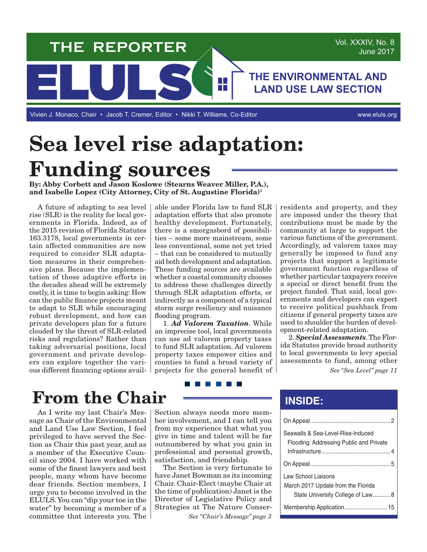

**Sea level rise adaptation: Funding sources**

**By: Abby Corbett and Jason Koslowe (Stearns Weaver Miller, P.A.), and Isabelle Lopez (City Attorney, City of St. Augustine Florida)1**

A future of adapting to sea level rise (SLR) is the reality for local governments in Florida. Indeed, as of the 2015 revision of Florida Statutes 163.3178, local governments in certain affected communities are now required to consider SLR adaptation measures in their comprehensive plans. Because the implementation of those adaptive efforts in the decades ahead will be extremely costly, it is time to begin asking: How can the public finance projects meant to adapt to SLR while encouraging robust development, and how can private developers plan for a future clouded by the threat of SLR-related risks and regulations? Rather than taking adversarial positions, local government and private developers can explore together the various different financing options avail-

able under Florida law to fund SLR adaptation efforts that also promote healthy development. Fortunately, there is a smorgasbord of possibilities – some more mainstream, some less conventional, some not yet tried – that can be considered to mutually aid both development and adaptation. These funding sources are available whether a coastal community chooses to address these challenges directly through SLR adaptation efforts, or indirectly as a component of a typical storm surge resiliency and nuisance flooding program.

1. *Ad Valorem Taxation*. While an imprecise tool, local governments can use ad valorem property taxes to fund SLR adaptation. Ad valorem property taxes empower cities and counties to fund a broad variety of projects for the general benefit of residents and property, and they are imposed under the theory that contributions must be made by the community at large to support the various functions of the government. Accordingly, ad valorem taxes may generally be imposed to fund any projects that support a legitimate government function regardless of whether particular taxpayers receive a special or direct benefit from the project funded. That said, local governments and developers can expect to receive political pushback from citizens if general property taxes are used to shoulder the burden of development-related adaptation.

2. *Special Assessments*. The Florida Statutes provide broad authority to local governments to levy special assessments to fund, among other

*See "Sea Level" page 11*

# **From the Chair**

As I write my last Chair's Message as Chair of the Environmental and Land Use Law Section, I feel privileged to have served the Section as Chair this past year, and as a member of the Executive Council since 2004. I have worked with some of the finest lawyers and best people, many whom have become dear friends. Section members, I urge you to become involved in the ELULS. You can "dip your toe in the water" by becoming a member of a committee that interests you. The

#### <u> Tanzania de la pro</u>

Section always needs more member involvement, and I can tell you from my experience that what you give in time and talent will be far outnumbered by what you gain in professional and personal growth, satisfaction, and friendship.

The Section is very fortunate to have Janet Bowman as its incoming Chair. Chair-Elect (maybe Chair at the time of publication) Janet is the Director of Legislative Policy and Strategies at The Nature Conser-

*See "Chair's Message" page 3*

## **INSIDE:**

| Seawalls & Sea-Level-Rise-Induced<br>Flooding: Addressing Public and Private |
|------------------------------------------------------------------------------|
|                                                                              |
|                                                                              |
| Law School Liaisons<br>March 2017 Update from the Florida                    |
| State University College of Law 8                                            |
|                                                                              |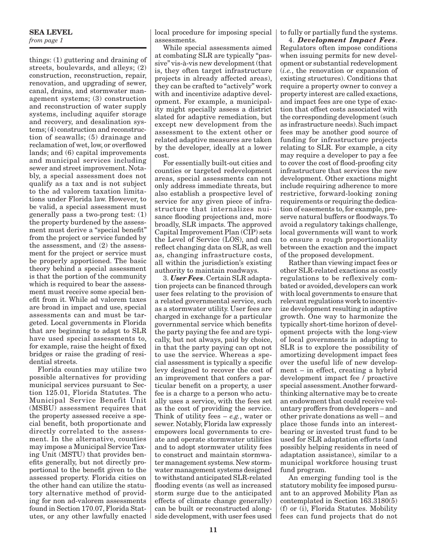#### **SEA LEVEL**

*from page 1*

things: (1) guttering and draining of streets, boulevards, and alleys; (2) construction, reconstruction, repair, renovation, and upgrading of sewer, canal, drains, and stormwater management systems; (3) construction and reconstruction of water supply systems, including aquifer storage and recovery, and desalination systems; (4) construction and reconstruction of seawalls; (5) drainage and reclamation of wet, low, or overflowed lands; and (6) capital improvements and municipal services including sewer and street improvement. Notably, a special assessment does not qualify as a tax and is not subject to the ad valorem taxation limitations under Florida law. However, to be valid, a special assessment must generally pass a two-prong test: (1) the property burdened by the assessment must derive a "special benefit" from the project or service funded by the assessment, and (2) the assessment for the project or service must be properly apportioned. The basic theory behind a special assessment is that the portion of the community which is required to bear the assessment must receive some special benefit from it. While ad valorem taxes are broad in impact and use, special assessments can and must be targeted. Local governments in Florida that are beginning to adapt to SLR have used special assessments to, for example, raise the height of fixed bridges or raise the grading of residential streets.

Florida counties may utilize two possible alternatives for providing municipal services pursuant to Section 125.01, Florida Statutes. The Municipal Service Benefit Unit (MSBU) assessment requires that the property assessed receive a special benefit, both proportionate and directly correlated to the assessment. In the alternative, counties may impose a Municipal Service Taxing Unit (MSTU) that provides benefits generally, but not directly proportional to the benefit given to the assessed property. Florida cities on the other hand can utilize the statutory alternative method of providing for non ad-valorem assessments found in Section 170.07, Florida Statutes, or any other lawfully enacted local procedure for imposing special assessments.

While special assessments aimed at combating SLR are typically "passive" vis-à-vis new development (that is, they often target infrastructure projects in already affected areas), they can be crafted to "actively" work with and incentivize adaptive development. For example, a municipality might specially assess a district slated for adaptive remediation, but except new development from the assessment to the extent other or related adaptive measures are taken by the developer, ideally at a lower cost.

For essentially built-out cities and counties or targeted redevelopment areas, special assessments can not only address immediate threats, but also establish a prospective level of service for any given piece of infrastructure that internalizes nuisance flooding projections and, more broadly, SLR impacts. The approved Capital Improvement Plan (CIP) sets the Level of Service (LOS), and can reflect changing data on SLR, as well as, changing infrastructure costs, all within the jurisdiction's existing authority to maintain roadways.

3. *User Fees*. Certain SLR adaptation projects can be financed through user fees relating to the provision of a related governmental service, such as a stormwater utility. User fees are charged in exchange for a particular governmental service which benefits the party paying the fee and are typically, but not always, paid by choice, in that the party paying can opt not to use the service. Whereas a special assessment is typically a specific levy designed to recover the cost of an improvement that confers a particular benefit on a property, a user fee is a charge to a person who actually uses a service, with the fees set as the cost of providing the service. Think of utility fees – *e.g.*, water or sewer. Notably, Florida law expressly empowers local governments to create and operate stormwater utilities and to adopt stormwater utility fees to construct and maintain stormwater management systems. New stormwater management systems designed to withstand anticipated SLR-related flooding events (as well as increased storm surge due to the anticipated effects of climate change generally) can be built or reconstructed alongside development, with user fees used to fully or partially fund the systems.

4. *Development Impact Fees*. Regulators often impose conditions when issuing permits for new development or substantial redevelopment (*i.e.*, the renovation or expansion of existing structures). Conditions that require a property owner to convey a property interest are called exactions, and impact fees are one type of exaction that offset costs associated with the corresponding development (such as infrastructure needs). Such impact fees may be another good source of funding for infrastructure projects relating to SLR. For example, a city may require a developer to pay a fee to cover the cost of flood-proofing city infrastructure that services the new development. Other exactions might include requiring adherence to more restrictive, forward-looking zoning requirements or requiring the dedication of easements to, for example, preserve natural buffers or floodways. To avoid a regulatory takings challenge, local governments will want to work to ensure a rough proportionality between the exaction and the impact of the proposed development.

Rather than viewing impact fees or other SLR-related exactions as costly regulations to be reflexively combated or avoided, developers can work with local governments to ensure that relevant regulations work to incentivize development resulting in adaptive growth. One way to harmonize the typically short-time horizon of development projects with the long-view of local governments in adapting to SLR is to explore the possibility of amortizing development impact fees over the useful life of new development – in effect, creating a hybrid development impact fee / proactive special assessment. Another forwardthinking alternative may be to create an endowment that could receive voluntary proffers from developers – and other private donations as well – and place those funds into an interestbearing or invested trust fund to be used for SLR adaptation efforts (and possibly helping residents in need of adaptation assistance), similar to a municipal workforce housing trust fund program.

An emerging funding tool is the statutory mobility fee imposed pursuant to an approved Mobility Plan as contemplated in Section 163.3180(5) (f) or (i), Florida Statutes. Mobility fees can fund projects that do not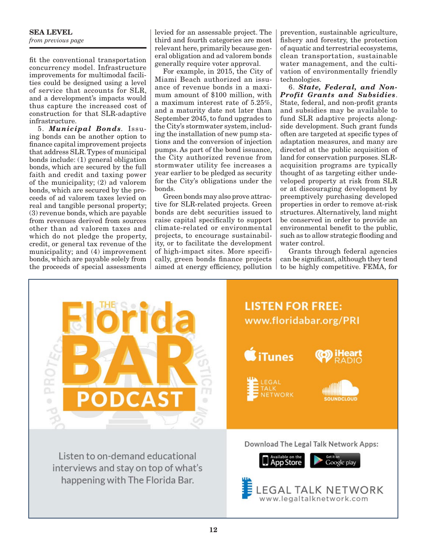#### **SEA LEVEL** *from previous page*

fit the conventional transportation concurrency model. Infrastructure improvements for multimodal facilities could be designed using a level of service that accounts for SLR, and a development's impacts would thus capture the increased cost of construction for that SLR-adaptive infrastructure.

5. *Municipal Bonds.* Issuing bonds can be another option to finance capital improvement projects that address SLR. Types of municipal bonds include: (1) general obligation bonds, which are secured by the full faith and credit and taxing power of the municipality; (2) ad valorem bonds, which are secured by the proceeds of ad valorem taxes levied on real and tangible personal property; (3) revenue bonds, which are payable from revenues derived from sources other than ad valorem taxes and which do not pledge the property, credit, or general tax revenue of the municipality; and (4) improvement bonds, which are payable solely from the proceeds of special assessments

levied for an assessable project. The third and fourth categories are most relevant here, primarily because general obligation and ad valorem bonds generally require voter approval.

For example, in 2015, the City of Miami Beach authorized an issuance of revenue bonds in a maximum amount of \$100 million, with a maximum interest rate of 5.25%, and a maturity date not later than September 2045, to fund upgrades to the City's stormwater system, including the installation of new pump stations and the conversion of injection pumps. As part of the bond issuance, the City authorized revenue from stormwater utility fee increases a year earlier to be pledged as security for the City's obligations under the bonds.

Green bonds may also prove attractive for SLR-related projects. Green bonds are debt securities issued to raise capital specifically to support climate-related or environmental projects, to encourage sustainability, or to facilitate the development of high-impact sites. More specifically, green bonds finance projects aimed at energy efficiency, pollution

prevention, sustainable agriculture, fishery and forestry, the protection of aquatic and terrestrial ecosystems, clean transportation, sustainable water management, and the cultivation of environmentally friendly technologies.

6. *State, Federal, and Non-Profit Grants and Subsidies*. State, federal, and non-profit grants and subsidies may be available to fund SLR adaptive projects alongside development. Such grant funds often are targeted at specific types of adaptation measures, and many are directed at the public acquisition of land for conservation purposes. SLRacquisition programs are typically thought of as targeting either undeveloped property at risk from SLR or at discouraging development by preemptively purchasing developed properties in order to remove at-risk structures. Alternatively, land might be conserved in order to provide an environmental benefit to the public, such as to allow strategic flooding and water control.

Grants through federal agencies can be significant, although they tend to be highly competitive. FEMA, for

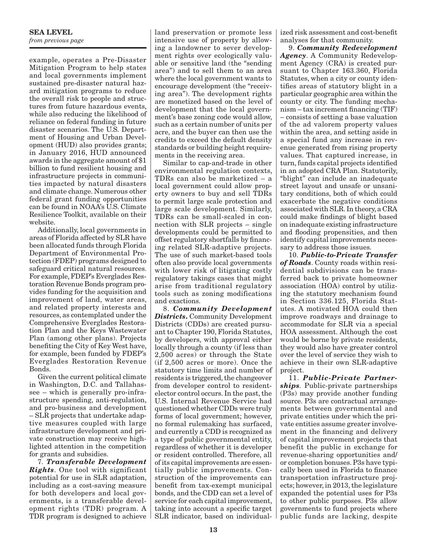#### **SEA LEVEL** *from previous page*

example, operates a Pre-Disaster Mitigation Program to help states and local governments implement sustained pre-disaster natural hazard mitigation programs to reduce the overall risk to people and structures from future hazardous events, while also reducing the likelihood of reliance on federal funding in future disaster scenarios. The U.S. Department of Housing and Urban Development (HUD) also provides grants; in January 2016, HUD announced awards in the aggregate amount of \$1 billion to fund resilient housing and infrastructure projects in communities impacted by natural disasters and climate change. Numerous other federal grant funding opportunities can be found in NOAA's U.S. Climate Resilience Toolkit, available on their website.

Additionally, local governments in areas of Florida affected by SLR have been allocated funds through Florida Department of Environmental Protection (FDEP) programs designed to safeguard critical natural resources. For example, FDEP's Everglades Restoration Revenue Bonds program provides funding for the acquisition and improvement of land, water areas, and related property interests and resources, as contemplated under the Comprehensive Everglades Restoration Plan and the Keys Wastewater Plan (among other plans). Projects benefiting the City of Key West have, for example, been funded by FDEP's Everglades Restoration Revenue Bonds.

Given the current political climate in Washington, D.C. and Tallahassee – which is generally pro-infrastructure spending, anti-regulation, and pro-business and development – SLR projects that undertake adaptive measures coupled with large infrastructure development and private construction may receive highlighted attention in the competition for grants and subsidies.

7*. Transferable Development Rights*. One tool with significant potential for use in SLR adaptation, including as a cost-saving measure for both developers and local governments, is a transferable development rights (TDR) program. A TDR program is designed to achieve

land preservation or promote less intensive use of property by allowing a landowner to sever development rights over ecologically valuable or sensitive land (the "sending area") and to sell them to an area where the local government wants to encourage development (the "receiving area"). The development rights are monetized based on the level of development that the local government's base zoning code would allow, such as a certain number of units per acre, and the buyer can then use the credits to exceed the default density standards or building height requirements in the receiving area.

Similar to cap-and-trade in other environmental regulation contexts, TDRs can also be marketized – a local government could allow property owners to buy and sell TDRs to permit large scale protection and large scale development. Similarly, TDRs can be small-scaled in connection with SLR projects – single developments could be permitted to offset regulatory shortfalls by financing related SLR-adaptive projects. The use of such market-based tools often also provide local governments with lower risk of litigating costly regulatory takings cases that might arise from traditional regulatory tools such as zoning modifications and exactions.

8. *Community Development Districts***.** Community Development Districts (CDDs) are created pursuant to Chapter 190, Florida Statutes, by developers, with approval either locally through a county (if less than 2,500 acres) or through the State (if 2,500 acres or more). Once the statutory time limits and number of residents is triggered, the changeover from developer control to residentelector control occurs. In the past, the U.S. Internal Revenue Service had questioned whether CDDs were truly forms of local government; however, no formal rulemaking has surfaced, and currently a CDD is recognized as a type of public governmental entity, regardless of whether it is developer or resident controlled. Therefore, all of its capital improvements are essentially public improvements. Construction of the improvements can benefit from tax-exempt municipal bonds, and the CDD can set a level of service for each capital improvement, taking into account a specific target SLR indicator, based on individualized risk assessment and cost-benefit analyses for that community.

9. *Community Redevelopment Agency*. A Community Redevelopment Agency (CRA) is created pursuant to Chapter 163.360, Florida Statutes, when a city or county identifies areas of statutory blight in a particular geographic area within the county or city. The funding mechanism – tax increment financing (TIF) – consists of setting a base valuation of the ad valorem property values within the area, and setting aside in a special fund any increase in revenue generated from rising property values. That captured increase, in turn, funds capital projects identified in an adopted CRA Plan. Statutorily, "blight" can include an inadequate street layout and unsafe or unsanitary conditions, both of which could exacerbate the negative conditions associated with SLR. In theory, a CRA could make findings of blight based on inadequate existing infrastructure and flooding propensities, and then identify capital improvements necessary to address those issues.

10. *Public-to-Private Transfer of Roads*. County roads within residential subdivisions can be transferred back to private homeowner association (HOA) control by utilizing the statutory mechanism found in Section 336.125, Florida Statutes. A motivated HOA could then improve roadways and drainage to accommodate for SLR via a special HOA assessment. Although the cost would be borne by private residents, they would also have greater control over the level of service they wish to achieve in their own SLR-adaptive project.

11. *Public-Private Partnerships.* Public-private partnerships (P3s) may provide another funding source. P3s are contractual arrangements between governmental and private entities under which the private entities assume greater involvement in the financing and delivery of capital improvement projects that benefit the public in exchange for revenue-sharing opportunities and/ or completion bonuses. P3s have typically been used in Florida to finance transportation infrastructure projects; however, in 2013, the legislature expanded the potential uses for P3s to other public purposes. P3s allow governments to fund projects where public funds are lacking, despite